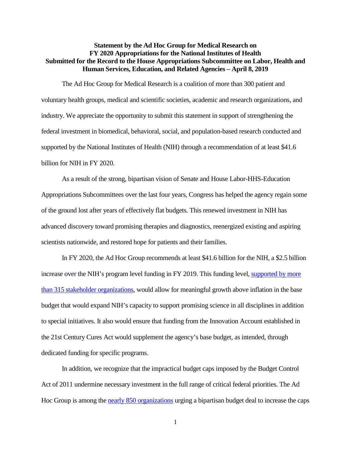## **Statement by the Ad Hoc Group for Medical Research on FY 2020 Appropriations for the National Institutes of Health Submitted for the Record to the House Appropriations Subcommittee on Labor, Health and Human Services, Education, and Related Agencies – April 8, 2019**

The Ad Hoc Group for Medical Research is a coalition of more than 300 patient and voluntary health groups, medical and scientific societies, academic and research organizations, and industry. We appreciate the opportunity to submit this statement in support of strengthening the federal investment in biomedical, behavioral, social, and population-based research conducted and supported by the National Institutes of Health (NIH) through a recommendation of at least \$41.6 billion for NIH in FY 2020.

As a result of the strong, bipartisan vision of Senate and House Labor-HHS-Education Appropriations Subcommittees over the last four years, Congress has helped the agency regain some of the ground lost after years of effectively flat budgets. This renewed investment in NIH has advanced discovery toward promising therapies and diagnostics, reenergized existing and aspiring scientists nationwide, and restored hope for patients and their families.

In FY 2020, the Ad Hoc Group recommends at least \$41.6 billion for the NIH, a \$2.5 billion increase over the NIH's program level funding in FY 2019. This funding level, supported by more [than 315 stakeholder organizations,](https://www.aamc.org/research/adhocgp/FY20recommendation.pdf) would allow for meaningful growth above inflation in the base budget that would expand NIH's capacity to support promising science in all disciplines in addition to special initiatives. It also would ensure that funding from the Innovation Account established in the 21st Century Cures Act would supplement the agency's base budget, as intended, through dedicated funding for specific programs.

In addition, we recognize that the impractical budget caps imposed by the Budget Control Act of 2011 undermine necessary investment in the full range of critical federal priorities. The Ad Hoc Group is among the nearly 850 [organizations](https://www.aamc.org/download/496632/data/groupletterurgingcongresstoworkonanewbudgetagreementtoraisespen.pdf) urging a bipartisan budget deal to increase the caps

1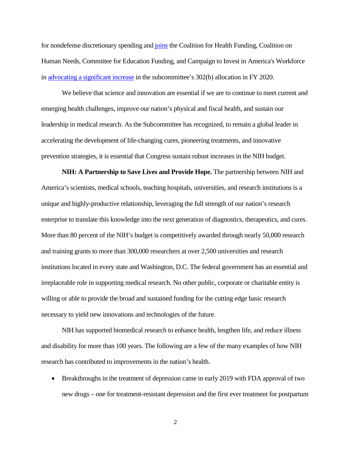for nondefense discretionary spending and [joins](https://www.aamc.org/download/496566/data/groupletterurgingstrongfundingallocationfordiscretionaryhealthp.pdf) the Coalition for Health Funding, Coalition on Human Needs, Committee for Education Funding, and Campaign to Invest in America's Workforce i[n advocating a significant increase](https://www.aamc.org/research/adhocgp/FY2020_302bletter.pdf) in the subcommittee's 302(b) allocation in FY 2020.

We believe that science and innovation are essential if we are to continue to meet current and emerging health challenges, improve our nation's physical and fiscal health, and sustain our leadership in medical research. As the Subcommittee has recognized, to remain a global leader in accelerating the development of life-changing cures, pioneering treatments, and innovative prevention strategies, it is essential that Congress sustain robust increases in the NIH budget.

**NIH: A Partnership to Save Lives and Provide Hope.** The partnership between NIH and America's scientists, medical schools, teaching hospitals, universities, and research institutions is a unique and highly-productive relationship, leveraging the full strength of our nation's research enterprise to translate this knowledge into the next generation of diagnostics, therapeutics, and cures. More than 80 percent of the NIH's budget is competitively awarded through nearly 50,000 research and training grants to more than 300,000 researchers at over 2,500 universities and research institutions located in every state and Washington, D.C. The federal government has an essential and irreplaceable role in supporting medical research. No other public, corporate or charitable entity is willing or able to provide the broad and sustained funding for the cutting edge basic research necessary to yield new innovations and technologies of the future.

NIH has supported biomedical research to enhance health, lengthen life, and reduce illness and disability for more than 100 years. The following are a few of the many examples of how NIH research has contributed to improvements in the nation's health.

• Breakthroughs in the treatment of depression came in early 2019 with FDA approval of two new drugs – one for treatment-resistant depression and the first ever treatment for postpartum

2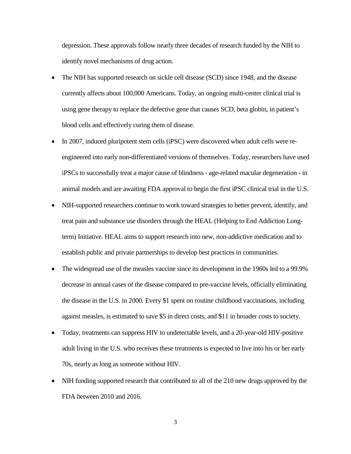depression. These approvals follow nearly three decades of research funded by the NIH to identify novel mechanisms of drug action.

- The NIH has supported research on sickle cell disease (SCD) since 1948, and the disease currently affects about 100,000 Americans. Today, an ongoing multi-center clinical trial is using gene therapy to replace the defective gene that causes SCD, beta globin, in patient's blood cells and effectively curing them of disease.
- In 2007, induced pluripotent stem cells (iPSC) were discovered when adult cells were reengineered into early non-differentiated versions of themselves. Today, researchers have used iPSCs to successfully treat a major cause of blindness - age-related macular degeneration - in animal models and are awaiting FDA approval to begin the first iPSC clinical trial in the U.S.
- NIH-supported researchers continue to work toward strategies to better prevent, identify, and treat pain and substance use disorders through the HEAL (Helping to End Addiction Longterm) Initiative. HEAL aims to support research into new, non-addictive medication and to establish public and private partnerships to develop best practices in communities.
- The widespread use of the measles vaccine since its development in the 1960s led to a 99.9% decrease in annual cases of the disease compared to pre-vaccine levels, officially eliminating the disease in the U.S. in 2000. Every \$1 spent on routine childhood vaccinations, including against measles, is estimated to save \$5 in direct costs, and \$11 in broader costs to society.
- Today, treatments can suppress HIV to undetectable levels, and a 20-year-old HIV-positive adult living in the U.S. who receives these treatments is expected to live into his or her early 70s, nearly as long as someone without HIV.
- NIH funding supported research that contributed to all of the 210 new drugs approved by the FDA between 2010 and 2016.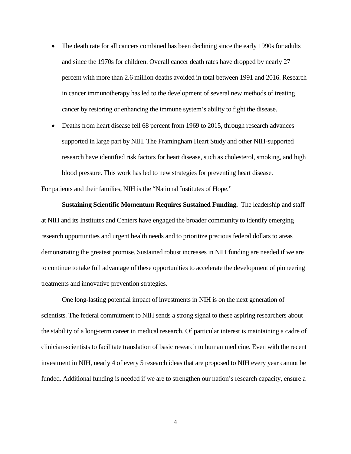- The death rate for all cancers combined has been declining since the early 1990s for adults and since the 1970s for children. Overall cancer death rates have dropped by nearly 27 percent with more than 2.6 million deaths avoided in total between 1991 and 2016. Research in cancer immunotherapy has led to the development of several new methods of treating cancer by restoring or enhancing the immune system's ability to fight the disease.
- Deaths from heart disease fell 68 percent from 1969 to 2015, through research advances supported in large part by NIH. The Framingham Heart Study and other NIH-supported research have identified risk factors for heart disease, such as cholesterol, smoking, and high blood pressure. This work has led to new strategies for preventing heart disease.

For patients and their families, NIH is the "National Institutes of Hope."

**Sustaining Scientific Momentum Requires Sustained Funding.** The leadership and staff at NIH and its Institutes and Centers have engaged the broader community to identify emerging research opportunities and urgent health needs and to prioritize precious federal dollars to areas demonstrating the greatest promise. Sustained robust increases in NIH funding are needed if we are to continue to take full advantage of these opportunities to accelerate the development of pioneering treatments and innovative prevention strategies.

One long-lasting potential impact of investments in NIH is on the next generation of scientists. The federal commitment to NIH sends a strong signal to these aspiring researchers about the stability of a long-term career in medical research. Of particular interest is maintaining a cadre of clinician-scientists to facilitate translation of basic research to human medicine. Even with the recent investment in NIH, nearly 4 of every 5 research ideas that are proposed to NIH every year cannot be funded. Additional funding is needed if we are to strengthen our nation's research capacity, ensure a